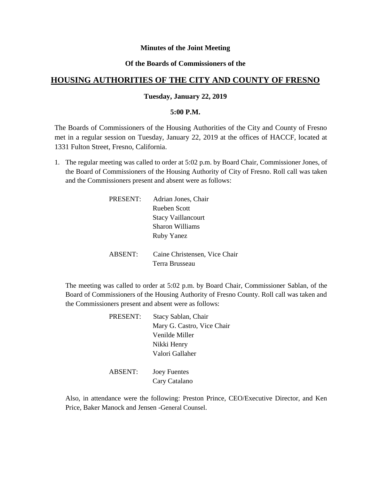### **Minutes of the Joint Meeting**

# **Of the Boards of Commissioners of the**

# **HOUSING AUTHORITIES OF THE CITY AND COUNTY OF FRESNO**

### **Tuesday, January 22, 2019**

#### **5:00 P.M.**

The Boards of Commissioners of the Housing Authorities of the City and County of Fresno met in a regular session on Tuesday, January 22, 2019 at the offices of HACCF, located at 1331 Fulton Street, Fresno, California.

1. The regular meeting was called to order at 5:02 p.m. by Board Chair, Commissioner Jones, of the Board of Commissioners of the Housing Authority of City of Fresno. Roll call was taken and the Commissioners present and absent were as follows:

| PRESENT: | Adrian Jones, Chair           |
|----------|-------------------------------|
|          | Rueben Scott                  |
|          | <b>Stacy Vaillancourt</b>     |
|          | Sharon Williams               |
|          | <b>Ruby Yanez</b>             |
|          |                               |
| ABSENT:  | Caine Christensen, Vice Chair |
|          | Terra Brusseau                |

The meeting was called to order at 5:02 p.m. by Board Chair, Commissioner Sablan, of the Board of Commissioners of the Housing Authority of Fresno County. Roll call was taken and the Commissioners present and absent were as follows:

| <b>PRESENT:</b> | Stacy Sablan, Chair        |
|-----------------|----------------------------|
|                 | Mary G. Castro, Vice Chair |
|                 | Venilde Miller             |
|                 | Nikki Henry                |
|                 | Valori Gallaher            |
|                 |                            |

ABSENT: Joey Fuentes Cary Catalano

Also, in attendance were the following: Preston Prince, CEO/Executive Director, and Ken Price, Baker Manock and Jensen -General Counsel.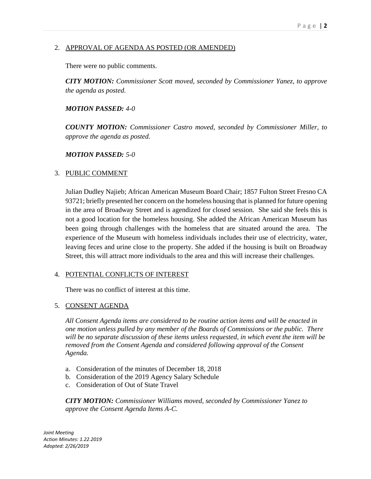# 2. APPROVAL OF AGENDA AS POSTED (OR AMENDED)

There were no public comments.

*CITY MOTION: Commissioner Scott moved, seconded by Commissioner Yanez, to approve the agenda as posted.*

### *MOTION PASSED: 4-0*

*COUNTY MOTION: Commissioner Castro moved, seconded by Commissioner Miller, to approve the agenda as posted.*

### *MOTION PASSED: 5-0*

### 3. PUBLIC COMMENT

Julian Dudley Najieb; African American Museum Board Chair; 1857 Fulton Street Fresno CA 93721; briefly presented her concern on the homeless housing that is planned for future opening in the area of Broadway Street and is agendized for closed session. She said she feels this is not a good location for the homeless housing. She added the African American Museum has been going through challenges with the homeless that are situated around the area. The experience of the Museum with homeless individuals includes their use of electricity, water, leaving feces and urine close to the property. She added if the housing is built on Broadway Street, this will attract more individuals to the area and this will increase their challenges.

### 4. POTENTIAL CONFLICTS OF INTEREST

There was no conflict of interest at this time.

### 5. CONSENT AGENDA

*All Consent Agenda items are considered to be routine action items and will be enacted in one motion unless pulled by any member of the Boards of Commissions or the public. There will be no separate discussion of these items unless requested, in which event the item will be removed from the Consent Agenda and considered following approval of the Consent Agenda.*

- a. Consideration of the minutes of December 18, 2018
- b. Consideration of the 2019 Agency Salary Schedule
- c. Consideration of Out of State Travel

*CITY MOTION: Commissioner Williams moved, seconded by Commissioner Yanez to approve the Consent Agenda Items A-C.*

*Joint Meeting Action Minutes: 1.22.2019 Adopted: 2/26/2019*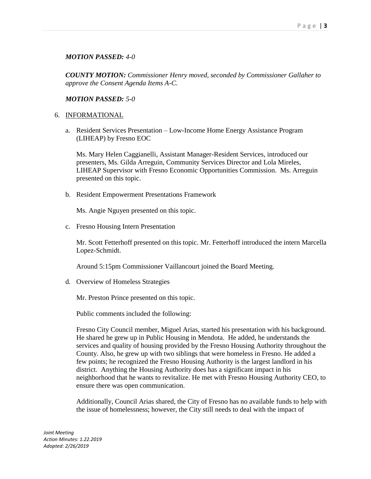### *MOTION PASSED: 4-0*

*COUNTY MOTION: Commissioner Henry moved, seconded by Commissioner Gallaher to approve the Consent Agenda Items A-C.*

#### *MOTION PASSED: 5-0*

### 6. INFORMATIONAL

a. Resident Services Presentation – Low-Income Home Energy Assistance Program (LIHEAP) by Fresno EOC

Ms. Mary Helen Caggianelli, Assistant Manager-Resident Services, introduced our presenters, Ms. Gilda Arreguin, Community Services Director and Lola Mireles, LIHEAP Supervisor with Fresno Economic Opportunities Commission. Ms. Arreguin presented on this topic.

b. Resident Empowerment Presentations Framework

Ms. Angie Nguyen presented on this topic.

c. Fresno Housing Intern Presentation

Mr. Scott Fetterhoff presented on this topic. Mr. Fetterhoff introduced the intern Marcella Lopez-Schmidt.

Around 5:15pm Commissioner Vaillancourt joined the Board Meeting.

d. Overview of Homeless Strategies

Mr. Preston Prince presented on this topic.

Public comments included the following:

Fresno City Council member, Miguel Arias, started his presentation with his background. He shared he grew up in Public Housing in Mendota. He added, he understands the services and quality of housing provided by the Fresno Housing Authority throughout the County. Also, he grew up with two siblings that were homeless in Fresno. He added a few points; he recognized the Fresno Housing Authority is the largest landlord in his district. Anything the Housing Authority does has a significant impact in his neighborhood that he wants to revitalize. He met with Fresno Housing Authority CEO, to ensure there was open communication.

Additionally, Council Arias shared, the City of Fresno has no available funds to help with the issue of homelessness; however, the City still needs to deal with the impact of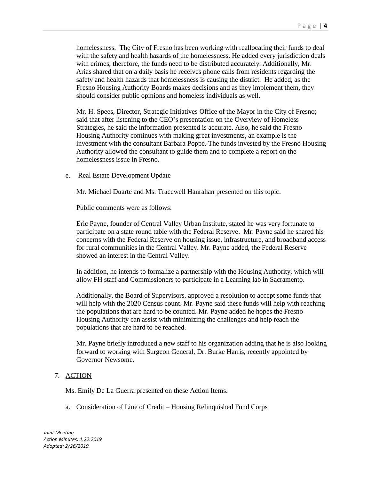homelessness. The City of Fresno has been working with reallocating their funds to deal with the safety and health hazards of the homelessness. He added every jurisdiction deals with crimes; therefore, the funds need to be distributed accurately. Additionally, Mr. Arias shared that on a daily basis he receives phone calls from residents regarding the safety and health hazards that homelessness is causing the district. He added, as the Fresno Housing Authority Boards makes decisions and as they implement them, they should consider public opinions and homeless individuals as well.

Mr. H. Spees, Director, Strategic Initiatives Office of the Mayor in the City of Fresno; said that after listening to the CEO's presentation on the Overview of Homeless Strategies, he said the information presented is accurate. Also, he said the Fresno Housing Authority continues with making great investments, an example is the investment with the consultant Barbara Poppe. The funds invested by the Fresno Housing Authority allowed the consultant to guide them and to complete a report on the homelessness issue in Fresno.

e. Real Estate Development Update

Mr. Michael Duarte and Ms. Tracewell Hanrahan presented on this topic.

Public comments were as follows:

Eric Payne, founder of Central Valley Urban Institute, stated he was very fortunate to participate on a state round table with the Federal Reserve. Mr. Payne said he shared his concerns with the Federal Reserve on housing issue, infrastructure, and broadband access for rural communities in the Central Valley. Mr. Payne added, the Federal Reserve showed an interest in the Central Valley.

In addition, he intends to formalize a partnership with the Housing Authority, which will allow FH staff and Commissioners to participate in a Learning lab in Sacramento.

Additionally, the Board of Supervisors, approved a resolution to accept some funds that will help with the 2020 Census count. Mr. Payne said these funds will help with reaching the populations that are hard to be counted. Mr. Payne added he hopes the Fresno Housing Authority can assist with minimizing the challenges and help reach the populations that are hard to be reached.

Mr. Payne briefly introduced a new staff to his organization adding that he is also looking forward to working with Surgeon General, Dr. Burke Harris, recently appointed by Governor Newsome.

### 7. ACTION

Ms. Emily De La Guerra presented on these Action Items.

a. Consideration of Line of Credit – Housing Relinquished Fund Corps

*Joint Meeting Action Minutes: 1.22.2019 Adopted: 2/26/2019*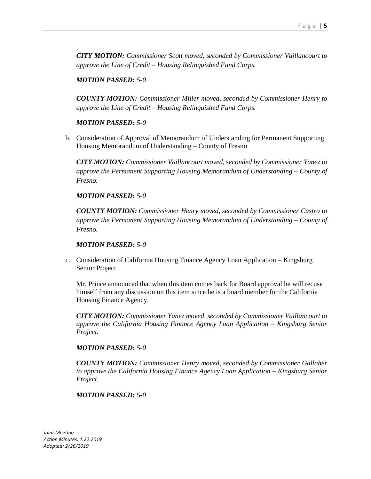*CITY MOTION: Commissioner Scott moved, seconded by Commissioner Vaillancourt to approve the Line of Credit – Housing Relinquished Fund Corps.*

*MOTION PASSED: 5-0*

*COUNTY MOTION: Commissioner Miller moved, seconded by Commissioner Henry to approve the Line of Credit – Housing Relinquished Fund Corps.*

### *MOTION PASSED: 5-0*

b. Consideration of Approval of Memorandum of Understanding for Permanent Supporting Housing Memorandum of Understanding – County of Fresno

*CITY MOTION: Commissioner Vaillancourt moved, seconded by Commissioner Yanez to approve the Permanent Supporting Housing Memorandum of Understanding – County of Fresno.*

### *MOTION PASSED: 5-0*

*COUNTY MOTION: Commissioner Henry moved, seconded by Commissioner Castro to approve the Permanent Supporting Housing Memorandum of Understanding – County of Fresno.*

*MOTION PASSED: 5-0*

c. Consideration of California Housing Finance Agency Loan Application – Kingsburg Senior Project

Mr. Prince announced that when this item comes back for Board approval he will recuse himself from any discussion on this item since he is a board member for the California Housing Finance Agency.

*CITY MOTION: Commissioner Yanez moved, seconded by Commissioner Vaillancourt to approve the California Housing Finance Agency Loan Application – Kingsburg Senior Project.*

*MOTION PASSED: 5-0*

*COUNTY MOTION: Commissioner Henry moved, seconded by Commissioner Gallaher to approve the California Housing Finance Agency Loan Application – Kingsburg Senior Project.*

### *MOTION PASSED:* 5*-0*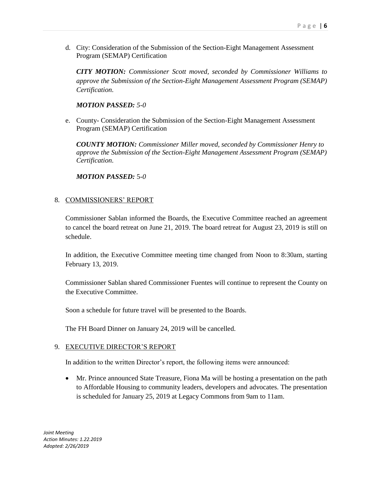d. City: Consideration of the Submission of the Section-Eight Management Assessment Program (SEMAP) Certification

*CITY MOTION: Commissioner Scott moved, seconded by Commissioner Williams to approve the Submission of the Section-Eight Management Assessment Program (SEMAP) Certification.*

# *MOTION PASSED: 5-0*

e. County- Consideration the Submission of the Section-Eight Management Assessment Program (SEMAP) Certification

*COUNTY MOTION: Commissioner Miller moved, seconded by Commissioner Henry to approve the Submission of the Section-Eight Management Assessment Program (SEMAP) Certification.*

*MOTION PASSED:* 5*-0*

### 8. COMMISSIONERS' REPORT

Commissioner Sablan informed the Boards, the Executive Committee reached an agreement to cancel the board retreat on June 21, 2019. The board retreat for August 23, 2019 is still on schedule.

In addition, the Executive Committee meeting time changed from Noon to 8:30am, starting February 13, 2019.

Commissioner Sablan shared Commissioner Fuentes will continue to represent the County on the Executive Committee.

Soon a schedule for future travel will be presented to the Boards.

The FH Board Dinner on January 24, 2019 will be cancelled.

### 9. EXECUTIVE DIRECTOR'S REPORT

In addition to the written Director's report, the following items were announced:

 Mr. Prince announced State Treasure, Fiona Ma will be hosting a presentation on the path to Affordable Housing to community leaders, developers and advocates. The presentation is scheduled for January 25, 2019 at Legacy Commons from 9am to 11am.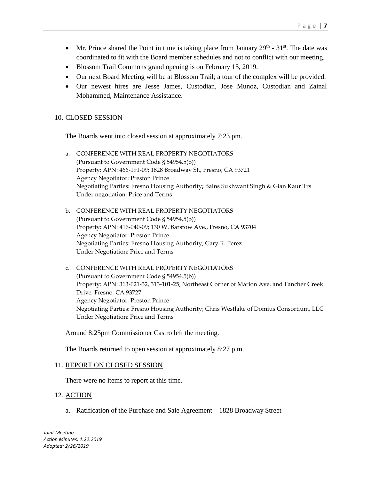- Mr. Prince shared the Point in time is taking place from January  $29<sup>th</sup>$   $31<sup>st</sup>$ . The date was coordinated to fit with the Board member schedules and not to conflict with our meeting.
- Blossom Trail Commons grand opening is on February 15, 2019.
- Our next Board Meeting will be at Blossom Trail; a tour of the complex will be provided.
- Our newest hires are Jesse James, Custodian, Jose Munoz, Custodian and Zainal Mohammed, Maintenance Assistance.

### 10. CLOSED SESSION

The Boards went into closed session at approximately 7:23 pm.

- a. CONFERENCE WITH REAL PROPERTY NEGOTIATORS (Pursuant to Government Code § 54954.5(b)) Property: APN: 466-191-09; 1828 Broadway St., Fresno, CA 93721 Agency Negotiator: Preston Prince Negotiating Parties: Fresno Housing Authority**;** Bains Sukhwant Singh & Gian Kaur Trs Under negotiation: Price and Terms
- b. CONFERENCE WITH REAL PROPERTY NEGOTIATORS (Pursuant to Government Code § 54954.5(b)) Property: APN: 416-040-09; 130 W. Barstow Ave., Fresno, CA 93704 Agency Negotiator: Preston Prince Negotiating Parties: Fresno Housing Authority; Gary R. Perez Under Negotiation: Price and Terms
- c. CONFERENCE WITH REAL PROPERTY NEGOTIATORS (Pursuant to Government Code § 54954.5(b)) Property: APN: 313-021-32, 313-101-25; Northeast Corner of Marion Ave. and Fancher Creek Drive, Fresno, CA 93727 Agency Negotiator: Preston Prince Negotiating Parties: Fresno Housing Authority; Chris Westlake of Domius Consortium, LLC Under Negotiation: Price and Terms

Around 8:25pm Commissioner Castro left the meeting.

The Boards returned to open session at approximately 8:27 p.m.

#### 11. REPORT ON CLOSED SESSION

There were no items to report at this time.

#### 12. ACTION

a. Ratification of the Purchase and Sale Agreement – 1828 Broadway Street

P a g e | **7**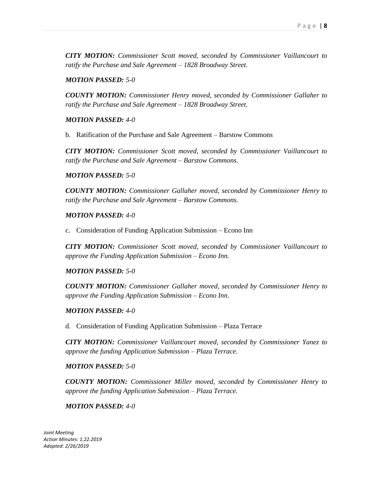*CITY MOTION: Commissioner Scott moved, seconded by Commissioner Vaillancourt to ratify the Purchase and Sale Agreement – 1828 Broadway Street.*

### *MOTION PASSED: 5-0*

*COUNTY MOTION: Commissioner Henry moved, seconded by Commissioner Gallaher to ratify the Purchase and Sale Agreement – 1828 Broadway Street.*

# *MOTION PASSED: 4-0*

b. Ratification of the Purchase and Sale Agreement – Barstow Commons

*CITY MOTION: Commissioner Scott moved, seconded by Commissioner Vaillancourt to ratify the Purchase and Sale Agreement – Barstow Commons.*

### *MOTION PASSED: 5-0*

*COUNTY MOTION: Commissioner Gallaher moved, seconded by Commissioner Henry to ratify the Purchase and Sale Agreement – Barstow Commons.*

### *MOTION PASSED: 4-0*

c. Consideration of Funding Application Submission – Econo Inn

*CITY MOTION: Commissioner Scott moved, seconded by Commissioner Vaillancourt to approve the Funding Application Submission – Econo Inn.*

### *MOTION PASSED: 5-0*

*COUNTY MOTION: Commissioner Gallaher moved, seconded by Commissioner Henry to approve the Funding Application Submission – Econo Inn.*

### *MOTION PASSED: 4-0*

d. Consideration of Funding Application Submission – Plaza Terrace

*CITY MOTION: Commissioner Vaillancourt moved, seconded by Commissioner Yanez to approve the funding Application Submission – Plaza Terrace.*

### *MOTION PASSED: 5-0*

*COUNTY MOTION: Commissioner Miller moved, seconded by Commissioner Henry to approve the funding Application Submission – Plaza Terrace.*

### *MOTION PASSED: 4-0*